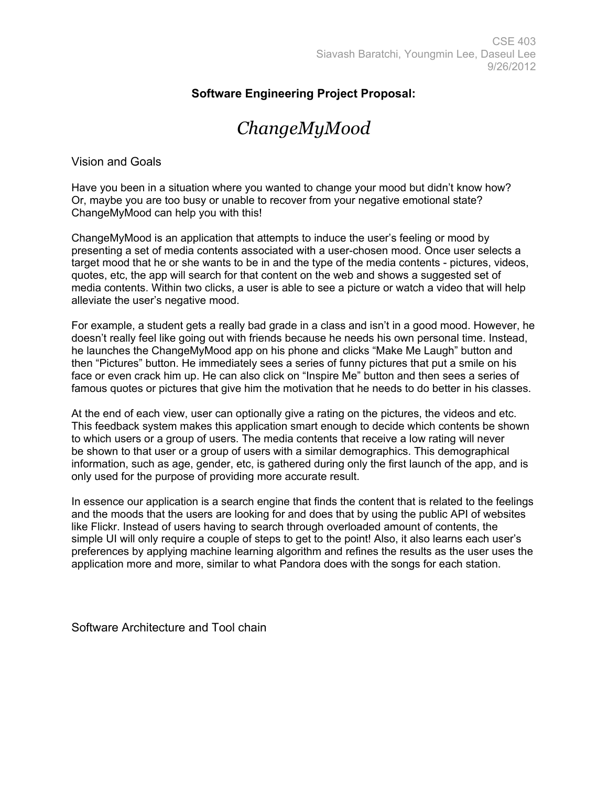## **Software Engineering Project Proposal:**

## *ChangeMyMood*

Vision and Goals

Have you been in a situation where you wanted to change your mood but didn't know how? Or, maybe you are too busy or unable to recover from your negative emotional state? ChangeMyMood can help you with this!

ChangeMyMood is an application that attempts to induce the user's feeling or mood by presenting a set of media contents associated with a user-chosen mood. Once user selects a target mood that he or she wants to be in and the type of the media contents - pictures, videos, quotes, etc, the app will search for that content on the web and shows a suggested set of media contents. Within two clicks, a user is able to see a picture or watch a video that will help alleviate the user's negative mood.

For example, a student gets a really bad grade in a class and isn't in a good mood. However, he doesn't really feel like going out with friends because he needs his own personal time. Instead, he launches the ChangeMyMood app on his phone and clicks "Make Me Laugh" button and then "Pictures" button. He immediately sees a series of funny pictures that put a smile on his face or even crack him up. He can also click on "Inspire Me" button and then sees a series of famous quotes or pictures that give him the motivation that he needs to do better in his classes.

At the end of each view, user can optionally give a rating on the pictures, the videos and etc. This feedback system makes this application smart enough to decide which contents be shown to which users or a group of users. The media contents that receive a low rating will never be shown to that user or a group of users with a similar demographics. This demographical information, such as age, gender, etc, is gathered during only the first launch of the app, and is only used for the purpose of providing more accurate result.

In essence our application is a search engine that finds the content that is related to the feelings and the moods that the users are looking for and does that by using the public API of websites like Flickr. Instead of users having to search through overloaded amount of contents, the simple UI will only require a couple of steps to get to the point! Also, it also learns each user's preferences by applying machine learning algorithm and refines the results as the user uses the application more and more, similar to what Pandora does with the songs for each station.

Software Architecture and Tool chain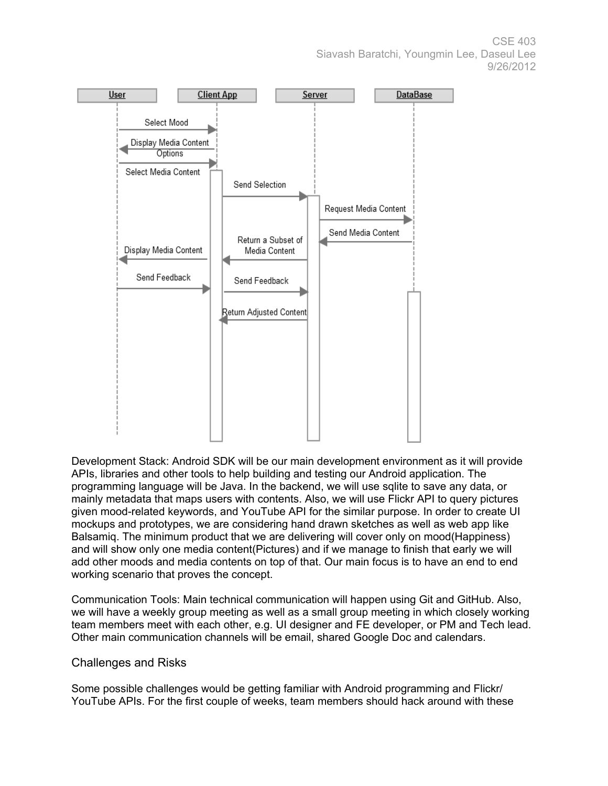CSE 403 Siavash Baratchi, Youngmin Lee, Daseul Lee 9/26/2012



Development Stack: Android SDK will be our main development environment as it will provide APIs, libraries and other tools to help building and testing our Android application. The programming language will be Java. In the backend, we will use sqlite to save any data, or mainly metadata that maps users with contents. Also, we will use Flickr API to query pictures given mood-related keywords, and YouTube API for the similar purpose. In order to create UI mockups and prototypes, we are considering hand drawn sketches as well as web app like Balsamiq. The minimum product that we are delivering will cover only on mood(Happiness) and will show only one media content(Pictures) and if we manage to finish that early we will add other moods and media contents on top of that. Our main focus is to have an end to end working scenario that proves the concept.

Communication Tools: Main technical communication will happen using Git and GitHub. Also, we will have a weekly group meeting as well as a small group meeting in which closely working team members meet with each other, e.g. UI designer and FE developer, or PM and Tech lead. Other main communication channels will be email, shared Google Doc and calendars.

## Challenges and Risks

Some possible challenges would be getting familiar with Android programming and Flickr/ YouTube APIs. For the first couple of weeks, team members should hack around with these